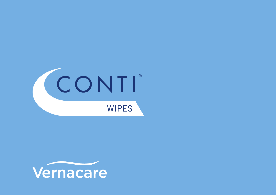

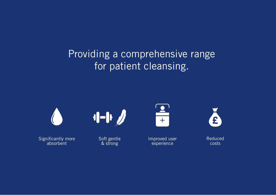# Providing a comprehensive range for patient cleansing.



Significantly more absorbent



Soft gentle & strong



Improved user experience



Reduced costs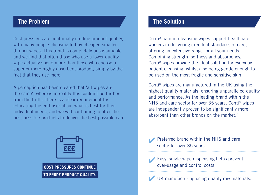#### **The Problem**

Cost pressures are continually eroding product quality, with many people choosing to buy cheaper, smaller, thinner wipes. This trend is completely unsustainable, and we find that often those who use a lower quality wipe actually spend more than those who choose a superior more highly absorbent product, simply by the fact that they use more.

A perception has been created that 'all wipes are the same', whereas in reality this couldn't be further from the truth. There is a clear requirement for educating the end-user about what is best for their individual needs, and we will continuing to offer the best possible products to deliver the best possible care.

#### **The Solution**

Conti® patient cleansing wipes support healthcare workers in delivering excellent standards of care, offering an extensive range for all your needs. Combining strength, softness and absorbency, Conti® wipes provide the ideal solution for everyday patient cleansing, whilst also being gentle enough to be used on the most fragile and sensitive skin.

Conti® wipes are manufactured in the UK using the highest quality materials, ensuring unparalleled quality and performance. As the leading brand within the NHS and care sector for over 35 years, Conti® wipes are independently proven to be significantly more absorbent than other brands on the market.<sup>2</sup>



Preferred brand within the NHS and care sector for over 35 years.

Easy, single-wipe dispensing helps prevent over-usage and control costs.

UK manufacturing using quality raw materials.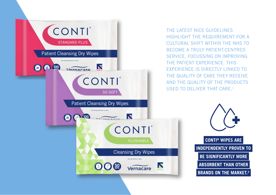

THE LATEST NICE GUIDELINES HIGHLIGHT THE REQUIREMENT FOR A CULTURAL SHIFT WITHIN THE NHS TO BECOME A TRULY PATIENT-CENTRED SERVICE, FOCUSSING ON IMPROVING THE PATIENT EXPERIENCE. THIS EXPERIENCE IS DIRECTLY LINKED TO THE QUALITY OF CARE THEY RECEIVE AND THE QUALITY OF THE PRODUCTS USED TO DELIVER THAT CARE.1

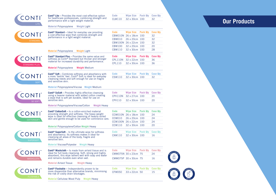| <b>Conti<sup>®</sup> Lite</b> - Provides the most cost-effective option                                                                   | Code          | <b>Wipe Size</b>      | Pack Qty        | <b>Case Qty</b>       |
|-------------------------------------------------------------------------------------------------------------------------------------------|---------------|-----------------------|-----------------|-----------------------|
| CONTI<br>for healthcare professionals, combining strength and<br>performance with a light weight material.                                | <b>CLW110</b> | 32 x 30cm 100         |                 | 32                    |
| LITE                                                                                                                                      |               |                       |                 |                       |
| <b>Material Polypropylene</b><br><b>Weight Light</b>                                                                                      |               |                       |                 |                       |
| Conti <sup>®</sup> Standard - Ideal for everyday use providing                                                                            | <b>Code</b>   | <b>Wipe Size</b>      | <b>Pack Qty</b> | <b>Case Qty</b>       |
| CONTI<br>a cost-effective wipe that combines strength and                                                                                 |               | CBW010N 26 x 18cm 100 |                 | 32                    |
| performance in a light weight material.                                                                                                   | <b>CBW010</b> | 26 x 20cm 100         |                 | 32                    |
| <b>STANDARD</b>                                                                                                                           |               | CBW100N 26 x 22cm 100 |                 | 32                    |
|                                                                                                                                           | <b>CBW100</b> | 32 x 20cm 100         |                 | 20                    |
| <b>Material Polypropylene</b><br><b>Weight Light</b>                                                                                      | <b>CBW110</b> | 32 x 30cm 100         |                 | 28                    |
|                                                                                                                                           |               |                       |                 |                       |
| <b>Conti<sup>®</sup> Standard Plus - Provides the same value and</b><br>CONTI<br>softness as Conti® Standard but thicker and stronger     | Code          | <b>Wipe Size</b>      | <b>Pack Qty</b> | <b>Case Qty</b>       |
| material for increased durability and performance.                                                                                        | CPL110N       | 32 x 22cm 100         |                 | 36                    |
| <b>STANDARD PLUS</b>                                                                                                                      | <b>CPL110</b> | 32 x 30cm 100         |                 | 36                    |
| <b>Material Polypropylene</b><br><b>Weight Medium</b>                                                                                     |               |                       |                 |                       |
|                                                                                                                                           | Code          | <b>Wipe Size</b>      | <b>Pack Qty</b> | <b>Case Qty</b>       |
| Conti <sup>®</sup> Soft – Combines softness and absorbency with<br>ONT<br>a more 'textile' feel. Conti® Soft is ideal for everyday        | <b>CSW110</b> | 32 x 30cm 100         |                 | 32                    |
| cleansing needs and soft enough for use on fragile<br>and sensitive skin.                                                                 |               |                       |                 |                       |
| <b>SOFT</b>                                                                                                                               |               |                       |                 |                       |
| Material Polypropylene/Viscose Weight Medium                                                                                              |               |                       |                 |                       |
| Conti <sup>®</sup> SoSoft - Provides highly effective cleansing                                                                           | Code          | <b>Wipe Size</b>      | <b>Pack Qtv</b> | <b>Case Qty</b>       |
| <b>CONTI</b><br>using a heavier material with added cotton creating                                                                       | CPV110N       | 32 x 27cm 100         |                 | 20                    |
| a wipe that is soft yet durable, ideal for use on<br>sensitive skin.                                                                      | <b>CPV110</b> | 32 x 30cm 100         |                 | 20                    |
| SO SOFT                                                                                                                                   |               |                       |                 |                       |
| Material Polypropylene/Viscose/Cotton<br><b>Weight Heavy</b>                                                                              |               |                       |                 |                       |
| Conti <sup>®</sup> CottonSoft - Is a cotton-enriched material                                                                             | Code          | <b>Wipe Size</b>      | <b>Pack Qty</b> | <b>Case Qty</b>       |
| ONTI<br>providing strength and softness. The heavy weight<br>wipe is ideal for effective cleansing of heavily soiled                      |               | CCW010N 26 x 18cm 100 |                 | 24                    |
| skin and gentle enough to be used for continence care.<br><b>COTTONSOFT</b>                                                               | CCW010        | 26 x 20cm 100         |                 | 24                    |
|                                                                                                                                           |               | CCW100N 26 x 22cm 100 |                 | 24                    |
| <b>Material Polypropylene/Cotton Weight Heavy</b>                                                                                         | <b>CCW110</b> | 32 x 30cm 100         |                 | 20                    |
|                                                                                                                                           |               |                       |                 |                       |
| <b>Conti<sup>®</sup> SuperSoft</b> – Is the ultimate wipe for softness<br><b>CONTI</b><br>and absorbency. Its softness makes it ideal for | Code          | <b>Wipe Size</b>      | <b>Pack Qty</b> | <b>Case Qty</b><br>16 |
| cleansing all areas of the body, fragile and                                                                                              | CXW110        | 32 x 30cm 100         |                 |                       |
| sensitive skin.<br><b>SUPERSOFT</b>                                                                                                       |               |                       |                 |                       |
| <b>Material Viscose/Polyester</b><br><b>Weight Heavy</b>                                                                                  |               |                       |                 |                       |
| Conti <sup>®</sup> Washcloth - Is made from airlaid tissue and is                                                                         | Code          | <b>Wipe Size</b>      | Pack Qty        | <b>Case Qty</b>       |
| CONTI<br>ideal for full body cleansing. Soft, strong and highly                                                                           |               | CWW075N 30 x 23cm 75  |                 | 24                    |
| absorbent, this wipe lathers well with soap and water<br>and remains durable even when wet.                                               |               | CWW075P 30 x 30cm 75  |                 |                       |
| <b>WASHCLOTH</b>                                                                                                                          |               |                       |                 | 16                    |
| <b>Material Airlaid Tissue</b><br><b>Weight Heavy</b>                                                                                     |               |                       |                 |                       |
| <b>Conti<sup>®</sup> Flushable</b> – Independently proven to be                                                                           | Code          | <b>Wipe Size</b>      | <b>Pack Qty</b> | <b>Case Qty</b>       |
| CONTI<br>more dispersible than alternative brands, minimising                                                                             | <b>CFW050</b> | 33 x 22cm 50          |                 | 15                    |
| the risk of costly drain blockages.<br><b>FLUSHABLE</b>                                                                                   |               |                       |                 |                       |
| Material Cellulose Wood Pulp Weight Heavy                                                                                                 |               |                       |                 |                       |

## **Our Products**

Ř